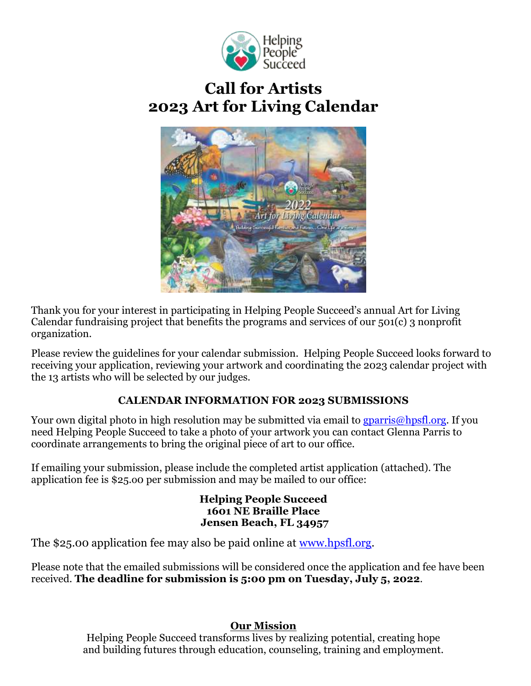

# **Call for Artists 2023 Art for Living Calendar**



Thank you for your interest in participating in Helping People Succeed's annual Art for Living Calendar fundraising project that benefits the programs and services of our 501(c) 3 nonprofit organization.

Please review the guidelines for your calendar submission. Helping People Succeed looks forward to receiving your application, reviewing your artwork and coordinating the 2023 calendar project with the 13 artists who will be selected by our judges.

## **CALENDAR INFORMATION FOR 2023 SUBMISSIONS**

Your own digital photo in high resolution may be submitted via email to [gparris@hpsfl.org.](mailto:gparris@hpsfl.org) If you need Helping People Succeed to take a photo of your artwork you can contact Glenna Parris to coordinate arrangements to bring the original piece of art to our office.

If emailing your submission, please include the completed artist application (attached). The application fee is \$25.o0 per submission and may be mailed to our office:

> **Helping People Succeed 1601 NE Braille Place Jensen Beach, FL 34957**

The \$25.00 application fee may also be paid online at [www.hpsfl.org.](http://www.hpsfl.org/)

Please note that the emailed submissions will be considered once the application and fee have been received. **The deadline for submission is 5:00 pm on Tuesday, July 5, 2022**.

### **Our Mission**

Helping People Succeed transforms lives by realizing potential, creating hope and building futures through education, counseling, training and employment.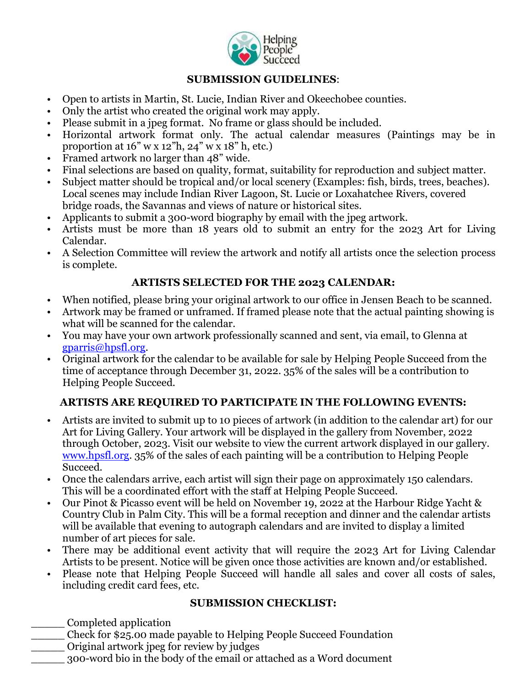

#### **SUBMISSION GUIDELINES**:

- Open to artists in Martin, St. Lucie, Indian River and Okeechobee counties.
- Only the artist who created the original work may apply.
- Please submit in a jpeg format. No frame or glass should be included.
- Horizontal artwork format only. The actual calendar measures (Paintings may be in proportion at  $16" \le x 12"$ h,  $24" \le x 18"$ h, etc.)
- Framed artwork no larger than 48" wide.
- Final selections are based on quality, format, suitability for reproduction and subject matter.
- Subject matter should be tropical and/or local scenery (Examples: fish, birds, trees, beaches). Local scenes may include Indian River Lagoon, St. Lucie or Loxahatchee Rivers, covered bridge roads, the Savannas and views of nature or historical sites.
- Applicants to submit a 300-word biography by email with the jpeg artwork.
- Artists must be more than 18 years old to submit an entry for the 2023 Art for Living Calendar.
- A Selection Committee will review the artwork and notify all artists once the selection process is complete.

#### **ARTISTS SELECTED FOR THE 2023 CALENDAR:**

- When notified, please bring your original artwork to our office in Jensen Beach to be scanned.
- Artwork may be framed or unframed. If framed please note that the actual painting showing is what will be scanned for the calendar.
- You may have your own artwork professionally scanned and sent, via email, to Glenna at [gparris@hpsfl.org.](mailto:gparris@hpsfl.org)
- Original artwork for the calendar to be available for sale by Helping People Succeed from the time of acceptance through December 31, 2022. 35% of the sales will be a contribution to Helping People Succeed.

### **ARTISTS ARE REQUIRED TO PARTICIPATE IN THE FOLLOWING EVENTS:**

- Artists are invited to submit up to 10 pieces of artwork (in addition to the calendar art) for our Art for Living Gallery. Your artwork will be displayed in the gallery from November, 2022 through October, 2023. Visit our website to view the current artwork displayed in our gallery. [www.hpsfl.org.](http://www.hpsfl.org/) 35% of the sales of each painting will be a contribution to Helping People Succeed.
- Once the calendars arrive, each artist will sign their page on approximately 150 calendars. This will be a coordinated effort with the staff at Helping People Succeed.
- Our Pinot & Picasso event will be held on November 19, 2022 at the Harbour Ridge Yacht & Country Club in Palm City. This will be a formal reception and dinner and the calendar artists will be available that evening to autograph calendars and are invited to display a limited number of art pieces for sale.
- There may be additional event activity that will require the 2023 Art for Living Calendar Artists to be present. Notice will be given once those activities are known and/or established.
- Please note that Helping People Succeed will handle all sales and cover all costs of sales, including credit card fees, etc.

#### **SUBMISSION CHECKLIST:**

- \_\_\_\_\_ Completed application
- \_\_\_\_\_ Check for \$25.00 made payable to Helping People Succeed Foundation
- \_\_\_\_\_ Original artwork jpeg for review by judges
- \_\_\_\_\_ 300-word bio in the body of the email or attached as a Word document